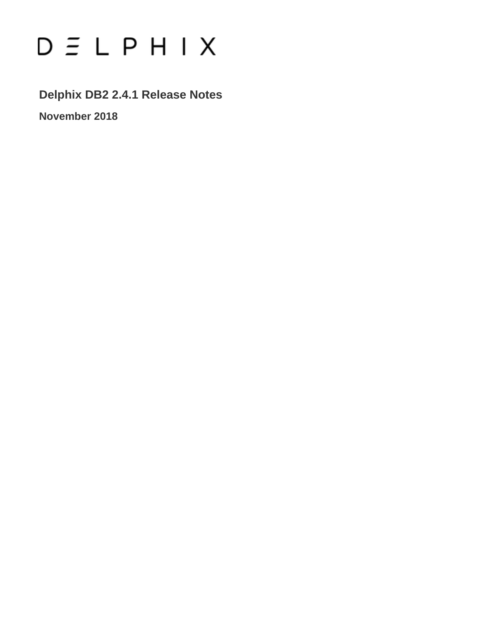# $D \subseteq L$   $P$   $H$   $I$   $X$

**Delphix DB2 2.4.1 Release Notes**

**November 2018**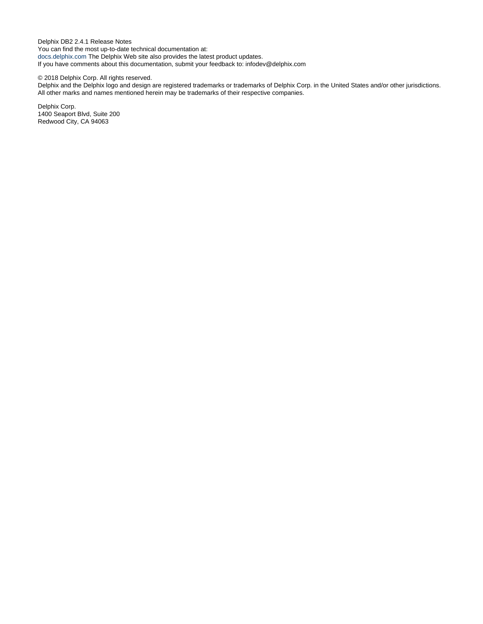Delphix DB2 2.4.1 Release Notes You can find the most up-to-date technical documentation at: [docs.delphix.com](http://docs.delphix.com) The Delphix Web site also provides the latest product updates. If you have comments about this documentation, submit your feedback to: infodev@delphix.com

#### © 2018 Delphix Corp. All rights reserved.

Delphix and the Delphix logo and design are registered trademarks or trademarks of Delphix Corp. in the United States and/or other jurisdictions. All other marks and names mentioned herein may be trademarks of their respective companies.

Delphix Corp. 1400 Seaport Blvd, Suite 200 Redwood City, CA 94063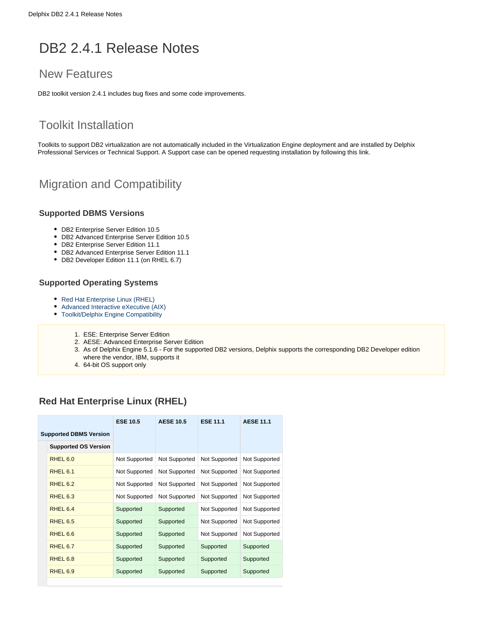# DB2 2.4.1 Release Notes

# New Features

DB2 toolkit version 2.4.1 includes bug fixes and some code improvements.

# Toolkit Installation

Toolkits to support DB2 virtualization are not automatically included in the Virtualization Engine deployment and are installed by Delphix Professional Services or Technical Support. A Support case can be opened requesting installation by following this [link](http://support-tickets.delphix.com/).

# Migration and Compatibility

#### **Supported DBMS Versions**

- DB2 Enterprise Server Edition 10.5
- DB2 Advanced Enterprise Server Edition 10.5
- DB2 Enterprise Server Edition 11.1
- DB2 Advanced Enterprise Server Edition 11.1
- DB2 Developer Edition 11.1 (on RHEL 6.7)

#### **Supported Operating Systems**

- Red Hat Enterprise Linux (RHEL)
- [Advanced Interactive eXecutive \(AIX\)](#page-3-0)
- [Toolkit/Delphix Engine Compatibility](#page-3-1)
	- 1. ESE: Enterprise Server Edition
	- 2. AESE: Advanced Enterprise Server Edition
	- 3. As of Delphix Engine 5.1.6 For the supported DB2 versions, Delphix supports the corresponding DB2 Developer edition where the vendor, IBM, supports it
	- 4. 64-bit OS support only

## <span id="page-2-0"></span>**Red Hat Enterprise Linux (RHEL)**

|                               |                             | <b>ESE 10.5</b> | <b>AESE 10.5</b><br><b>ESE 11.1</b> |               | <b>AESE 11.1</b> |  |
|-------------------------------|-----------------------------|-----------------|-------------------------------------|---------------|------------------|--|
| <b>Supported DBMS Version</b> |                             |                 |                                     |               |                  |  |
|                               | <b>Supported OS Version</b> |                 |                                     |               |                  |  |
|                               | RHEL <sub>6.0</sub>         | Not Supported   | Not Supported                       | Not Supported | Not Supported    |  |
|                               | RHEL <sub>6.1</sub>         | Not Supported   | Not Supported                       | Not Supported | Not Supported    |  |
|                               | RHEL <sub>6.2</sub>         | Not Supported   | Not Supported                       | Not Supported | Not Supported    |  |
|                               | RHEL <sub>6.3</sub>         | Not Supported   | Not Supported                       | Not Supported | Not Supported    |  |
|                               | RHEL 6.4                    | Supported       | Supported                           | Not Supported | Not Supported    |  |
|                               | RHEL <sub>6.5</sub>         | Supported       | Supported                           | Not Supported | Not Supported    |  |
|                               | RHEL <sub>6.6</sub>         | Supported       | Supported                           | Not Supported | Not Supported    |  |
|                               | RHEL 6.7                    | Supported       | Supported                           | Supported     | Supported        |  |
|                               | RHEL <sub>6.8</sub>         | Supported       | Supported                           | Supported     | Supported        |  |
|                               | RHEL <sub>6.9</sub>         | Supported       | Supported                           | Supported     | Supported        |  |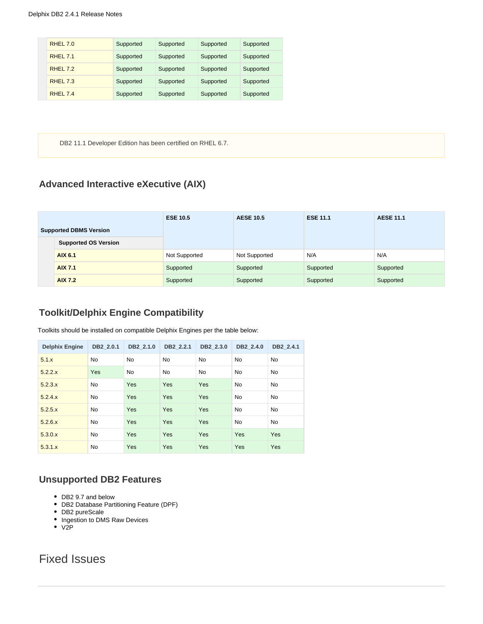| <b>RHEL 7.0</b>    | Supported | Supported | Supported | Supported |
|--------------------|-----------|-----------|-----------|-----------|
| <b>RHFI 7.1</b>    | Supported | Supported | Supported | Supported |
| RHFI <sub>72</sub> | Supported | Supported | Supported | Supported |
| <b>RHEL 7.3</b>    | Supported | Supported | Supported | Supported |
| <b>RHFI 74</b>     | Supported | Supported | Supported | Supported |

DB2 11.1 Developer Edition has been certified on RHEL 6.7.

## <span id="page-3-0"></span>**Advanced Interactive eXecutive (AIX)**

|                               |                             | <b>ESE 10.5</b> | <b>AESE 10.5</b> | <b>ESE 11.1</b> | <b>AESE 11.1</b> |
|-------------------------------|-----------------------------|-----------------|------------------|-----------------|------------------|
| <b>Supported DBMS Version</b> |                             |                 |                  |                 |                  |
|                               | <b>Supported OS Version</b> |                 |                  |                 |                  |
|                               | AIX 6.1                     | Not Supported   | Not Supported    | N/A             | N/A              |
|                               | <b>AIX 7.1</b>              | Supported       | Supported        | Supported       | Supported        |
|                               | <b>AIX 7.2</b>              | Supported       | Supported        | Supported       | Supported        |

### <span id="page-3-1"></span>**Toolkit/Delphix Engine Compatibility**

Toolkits should be installed on compatible Delphix Engines per the table below:

| <b>Delphix Engine</b> | DB2 2.0.1  | DB2 2.1.0 | DB2 2.2.1 | DB2 2.3.0 | DB2_2.4.0 | DB2_2.4.1 |
|-----------------------|------------|-----------|-----------|-----------|-----------|-----------|
| 5.1.x                 | <b>No</b>  | <b>No</b> | <b>No</b> | <b>No</b> | <b>No</b> | <b>No</b> |
| 5.2.2.x               | <b>Yes</b> | <b>No</b> | <b>No</b> | <b>No</b> | <b>No</b> | <b>No</b> |
| 5.2.3.x               | <b>No</b>  | Yes       | Yes       | Yes       | <b>No</b> | <b>No</b> |
| 5.2.4.x               | <b>No</b>  | Yes       | Yes       | Yes       | <b>No</b> | <b>No</b> |
| 5.2.5.x               | <b>No</b>  | Yes       | Yes       | Yes       | <b>No</b> | <b>No</b> |
| 5.2.6.x               | <b>No</b>  | Yes       | Yes       | Yes       | <b>No</b> | <b>No</b> |
| 5.3.0.x               | <b>No</b>  | Yes       | Yes       | Yes       | Yes       | Yes       |
| 5.3.1.x               | <b>No</b>  | Yes       | Yes       | Yes       | Yes       | Yes       |

#### **Unsupported DB2 Features**

- DB2 9.7 and below
- DB2 Database Partitioning Feature (DPF)
- DB2 pureScale
- Ingestion to DMS Raw Devices
- V2P

# Fixed Issues